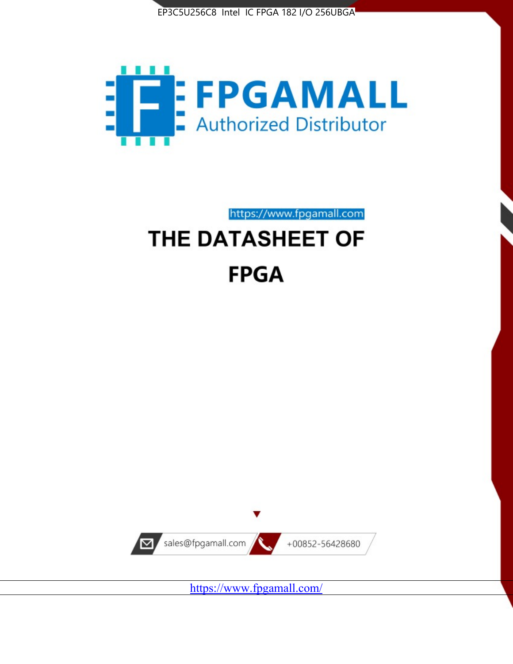



https://www.fpgamall.com

# THE DATASHEET OF **FPGA**



<https://www.fpgamall.com/>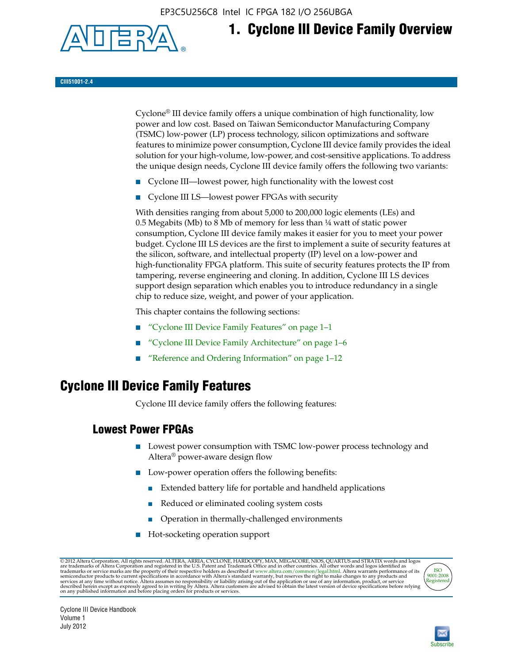EP3C5U256C8 Intel IC FPGA 182 I/O 256UBGA



## **1. Cyclone III Device Family Overview**

#### **CIII51001-2.4**

Cyclone® III device family offers a unique combination of high functionality, low power and low cost. Based on Taiwan Semiconductor Manufacturing Company (TSMC) low-power (LP) process technology, silicon optimizations and software features to minimize power consumption, Cyclone III device family provides the ideal solution for your high-volume, low-power, and cost-sensitive applications. To address the unique design needs, Cyclone III device family offers the following two variants:

- Cyclone III—lowest power, high functionality with the lowest cost
- Cyclone III LS—lowest power FPGAs with security

With densities ranging from about 5,000 to 200,000 logic elements (LEs) and 0.5 Megabits (Mb) to 8 Mb of memory for less than  $\frac{1}{4}$  watt of static power consumption, Cyclone III device family makes it easier for you to meet your power budget. Cyclone III LS devices are the first to implement a suite of security features at the silicon, software, and intellectual property (IP) level on a low-power and high-functionality FPGA platform. This suite of security features protects the IP from tampering, reverse engineering and cloning. In addition, Cyclone III LS devices support design separation which enables you to introduce redundancy in a single chip to reduce size, weight, and power of your application.

This chapter contains the following sections:

- "Cyclone III Device Family Features" on page 1–1
- "Cyclone III Device Family Architecture" on page 1–6
- "Reference and Ordering Information" on page 1–12

#### **Cyclone III Device Family Features**

Cyclone III device family offers the following features:

#### **Lowest Power FPGAs**

- Lowest power consumption with TSMC low-power process technology and Altera® power-aware design flow
- Low-power operation offers the following benefits:
	- Extended battery life for portable and handheld applications
	- Reduced or eliminated cooling system costs
	- Operation in thermally-challenged environments
- Hot-socketing operation support

@ 2012 Altera Corporation. All rights reserved. ALTERA, ARRIA, CYCLONE, HARDCOPY, MAX, MEGACORE, NIOS, QUARTUS and STRATIX words and logos are trademarks of Altera Corporation and registered in the U.S. Patent and Trademar



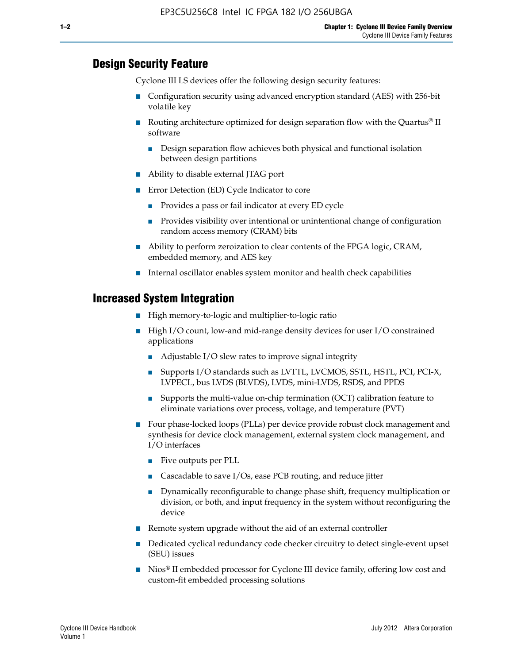#### **Design Security Feature**

Cyclone III LS devices offer the following design security features:

- Configuration security using advanced encryption standard (AES) with 256-bit volatile key
- Routing architecture optimized for design separation flow with the Quartus<sup>®</sup> II software
	- Design separation flow achieves both physical and functional isolation between design partitions
- Ability to disable external JTAG port
- Error Detection (ED) Cycle Indicator to core
	- Provides a pass or fail indicator at every ED cycle
	- Provides visibility over intentional or unintentional change of configuration random access memory (CRAM) bits
- Ability to perform zeroization to clear contents of the FPGA logic, CRAM, embedded memory, and AES key
- Internal oscillator enables system monitor and health check capabilities

#### **Increased System Integration**

- High memory-to-logic and multiplier-to-logic ratio
- High I/O count, low-and mid-range density devices for user I/O constrained applications
	- Adjustable I/O slew rates to improve signal integrity
	- Supports I/O standards such as LVTTL, LVCMOS, SSTL, HSTL, PCI, PCI-X, LVPECL, bus LVDS (BLVDS), LVDS, mini-LVDS, RSDS, and PPDS
	- Supports the multi-value on-chip termination (OCT) calibration feature to eliminate variations over process, voltage, and temperature (PVT)
- Four phase-locked loops (PLLs) per device provide robust clock management and synthesis for device clock management, external system clock management, and I/O interfaces
	- Five outputs per PLL
	- Cascadable to save I/Os, ease PCB routing, and reduce jitter
	- Dynamically reconfigurable to change phase shift, frequency multiplication or division, or both, and input frequency in the system without reconfiguring the device
- Remote system upgrade without the aid of an external controller
- Dedicated cyclical redundancy code checker circuitry to detect single-event upset (SEU) issues
- Nios<sup>®</sup> II embedded processor for Cyclone III device family, offering low cost and custom-fit embedded processing solutions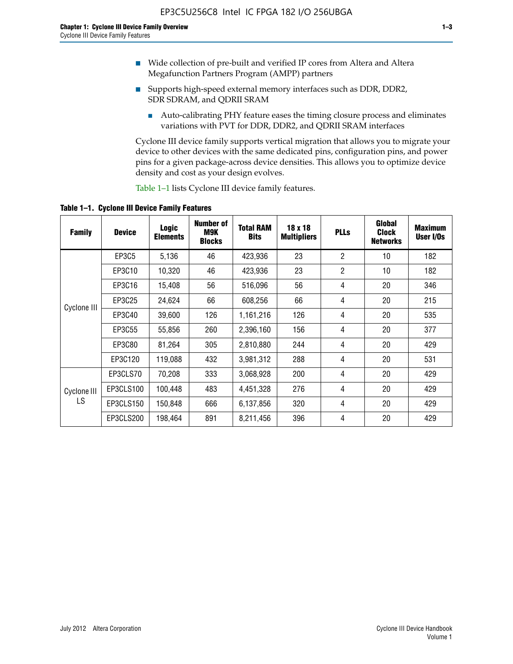- Wide collection of pre-built and verified IP cores from Altera and Altera Megafunction Partners Program (AMPP) partners
- Supports high-speed external memory interfaces such as DDR, DDR2, SDR SDRAM, and QDRII SRAM
	- Auto-calibrating PHY feature eases the timing closure process and eliminates variations with PVT for DDR, DDR2, and QDRII SRAM interfaces

Cyclone III device family supports vertical migration that allows you to migrate your device to other devices with the same dedicated pins, configuration pins, and power pins for a given package-across device densities. This allows you to optimize device density and cost as your design evolves.

Table 1–1 lists Cyclone III device family features.

**Table 1–1. Cyclone III Device Family Features**

| <b>Family</b>     | <b>Device</b> | <b>Logic</b><br><b>Elements</b> | Number of<br>M9K<br><b>Blocks</b> | <b>Total RAM</b><br><b>Bits</b> | 18 x 18<br><b>Multipliers</b> | <b>PLLs</b>    | Global<br><b>Clock</b><br><b>Networks</b> | <b>Maximum</b><br>User I/Os |
|-------------------|---------------|---------------------------------|-----------------------------------|---------------------------------|-------------------------------|----------------|-------------------------------------------|-----------------------------|
|                   | <b>EP3C5</b>  | 5,136                           | 46                                | 423,936                         | 23                            | $\overline{2}$ | 10                                        | 182                         |
|                   | EP3C10        | 10,320                          | 46                                | 423,936                         | 23                            | $\overline{2}$ | 10                                        | 182                         |
|                   | EP3C16        | 15,408                          | 56                                | 516,096                         | 56                            | 4              | 20                                        | 346                         |
| Cyclone III       | EP3C25        | 24,624                          | 66                                | 608,256                         | 66                            | 4              | 20                                        | 215                         |
|                   | EP3C40        | 39,600                          | 126                               | 1,161,216                       | 126                           | 4              | 20                                        | 535                         |
|                   | EP3C55        | 55,856                          | 260                               | 2,396,160                       | 156                           | 4              | 20                                        | 377                         |
|                   | EP3C80        | 81,264                          | 305                               | 2,810,880                       | 244                           | 4              | 20                                        | 429                         |
|                   | EP3C120       | 119,088                         | 432                               | 3,981,312                       | 288                           | 4              | 20                                        | 531                         |
|                   | EP3CLS70      | 70,208                          | 333                               | 3,068,928                       | 200                           | 4              | 20                                        | 429                         |
| Cyclone III<br>LS | EP3CLS100     | 100,448                         | 483                               | 4,451,328                       | 276                           | 4              | 20                                        | 429                         |
|                   | EP3CLS150     | 150,848                         | 666                               | 6,137,856                       | 320                           | 4              | 20                                        | 429                         |
|                   | EP3CLS200     | 198,464                         | 891                               | 8,211,456                       | 396                           | 4              | 20                                        | 429                         |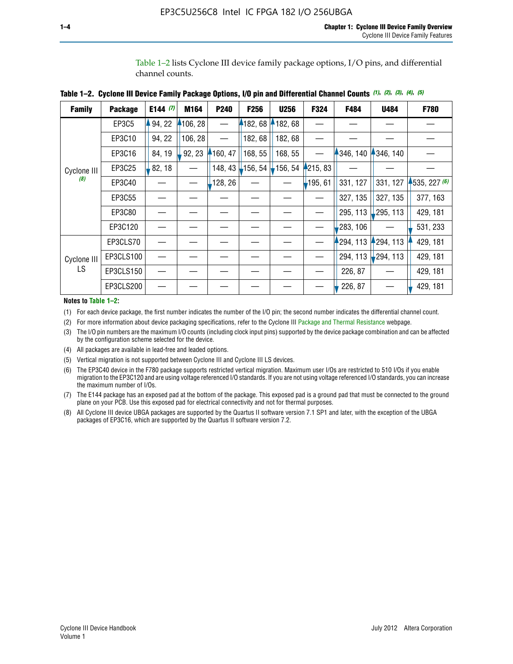Table 1–2 lists Cyclone III device family package options, I/O pins, and differential channel counts.

| <b>Family</b> | <b>Package</b> | E144 $(7)$ | M164     | <b>P240</b> | F256    | <b>U256</b>           | F324       | F484     | <b>U484</b>            | F780           |
|---------------|----------------|------------|----------|-------------|---------|-----------------------|------------|----------|------------------------|----------------|
|               | EP3C5          | 94, 22     | 4106, 28 |             | 4182,68 | 182, 68               |            |          |                        |                |
|               | EP3C10         | 94, 22     | 106, 28  |             | 182, 68 | 182, 68               |            |          |                        |                |
|               | EP3C16         | 84, 19     | 92, 23   | 160, 47     | 168, 55 | 168, 55               |            | 346, 140 | 4346, 140              |                |
| Cyclone III   | EP3C25         | 82, 18     |          | 148, 43     | 156, 54 | $\frac{1}{2}$ 156, 54 | 4215, 83   |          |                        |                |
| (8)           | EP3C40         |            |          | ,128, 26    |         |                       | $-195, 61$ | 331, 127 | 331, 127               | $-535, 227(6)$ |
|               | EP3C55         |            |          |             |         |                       |            | 327, 135 | 327, 135               | 377, 163       |
|               | EP3C80         |            |          |             |         |                       |            | 295, 113 | 295, 113               | 429, 181       |
|               | EP3C120        |            |          |             |         |                       |            | 283, 106 |                        | 531, 233       |
|               | EP3CLS70       |            |          |             |         |                       |            | 294, 113 | 294, 113               | 429, 181       |
| Cyclone III   | EP3CLS100      |            |          |             |         |                       |            | 294, 113 | $\frac{1}{2}$ 294, 113 | 429, 181       |
| LS.           | EP3CLS150      |            |          |             |         |                       |            | 226, 87  |                        | 429, 181       |
|               | EP3CLS200      |            |          |             |         |                       |            | 226, 87  |                        | 429, 181       |

**Table 1–2. Cyclone III Device Family Package Options, I/O pin and Differential Channel Counts** *(1)***,** *(2)***,** *(3)***,** *(4)***,** *(5)*

**Notes to Table 1–2:**

(1) For each device package, the first number indicates the number of the I/O pin; the second number indicates the differential channel count.

(2) For more information about device packaging specifications, refer to the Cyclone III [Package and Thermal Resistance](http://www.altera.com/support/devices/packaging/specifications/pkg-pin/dev-package-listing.jsp?device=Cyclone_III) webpage.

(3) The I/O pin numbers are the maximum I/O counts (including clock input pins) supported by the device package combination and can be affected by the configuration scheme selected for the device.

(4) All packages are available in lead-free and leaded options.

(5) Vertical migration is not supported between Cyclone III and Cyclone III LS devices.

(6) The EP3C40 device in the F780 package supports restricted vertical migration. Maximum user I/Os are restricted to 510 I/Os if you enable migration to the EP3C120 and are using voltage referenced I/O standards. If you are not using voltage referenced I/O standards, you can increase the maximum number of I/Os.

(7) The E144 package has an exposed pad at the bottom of the package. This exposed pad is a ground pad that must be connected to the ground plane on your PCB. Use this exposed pad for electrical connectivity and not for thermal purposes.

(8) All Cyclone III device UBGA packages are supported by the Quartus II software version 7.1 SP1 and later, with the exception of the UBGA packages of EP3C16, which are supported by the Quartus II software version 7.2.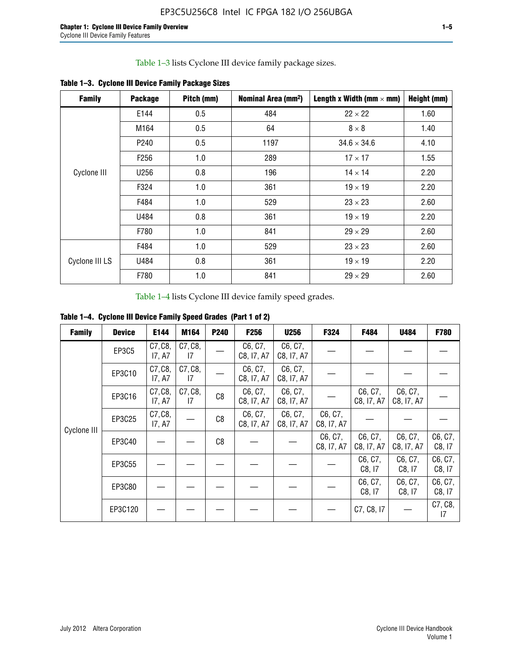Table 1–3 lists Cyclone III device family package sizes.

| <b>Family</b>  | <b>Package</b>   | Pitch (mm) | Nominal Area (mm <sup>2</sup> ) | Length x Width (mm $\times$ mm) | Height (mm) |
|----------------|------------------|------------|---------------------------------|---------------------------------|-------------|
|                | E144             | 0.5        | 484                             | $22 \times 22$                  | 1.60        |
|                | M164             | 0.5        | 64                              | $8 \times 8$                    | 1.40        |
|                | P <sub>240</sub> | 0.5        | 1197                            | $34.6 \times 34.6$              | 4.10        |
|                | F <sub>256</sub> | 1.0        | 289                             | $17 \times 17$                  | 1.55        |
| Cyclone III    | U256             | 0.8        | 196                             | $14 \times 14$                  | 2.20        |
|                | F324             | 1.0        | 361                             | $19 \times 19$                  | 2.20        |
|                | F484             | 1.0        | 529                             | $23 \times 23$                  | 2.60        |
|                | U484             | 0.8        | 361                             | $19 \times 19$                  | 2.20        |
|                | F780             | 1.0        | 841                             | $29 \times 29$                  | 2.60        |
|                | F484             | 1.0        | 529                             | $23 \times 23$                  | 2.60        |
| Cyclone III LS | U484             | 0.8        | 361                             | $19 \times 19$                  | 2.20        |
|                | F780             | 1.0        | 841                             | $29 \times 29$                  | 2.60        |

**Table 1–3. Cyclone III Device Family Package Sizes**

Table 1–4 lists Cyclone III device family speed grades.

**Table 1–4. Cyclone III Device Family Speed Grades (Part 1 of 2)**

| <b>Family</b> | <b>Device</b> | E144              | M164          | <b>P240</b>    | F <sub>256</sub>      | <b>U256</b>           | F324                  | F484                  | U484                  | <b>F780</b>       |
|---------------|---------------|-------------------|---------------|----------------|-----------------------|-----------------------|-----------------------|-----------------------|-----------------------|-------------------|
|               | <b>EP3C5</b>  | C7, C8,<br>I7, A7 | C7, C8,<br>17 |                | C6, C7,<br>C8, I7, A7 | C6, C7,<br>C8, I7, A7 |                       |                       |                       |                   |
|               | EP3C10        | C7, C8,<br>17, A7 | C7, C8,<br>17 |                | C6, C7,<br>C8, I7, A7 | C6, C7,<br>C8, I7, A7 |                       |                       |                       |                   |
|               | EP3C16        | C7, C8,<br>17, A7 | C7, C8,<br>17 | C <sub>8</sub> | C6, C7,<br>C8, I7, A7 | C6, C7,<br>C8, I7, A7 |                       | C6, C7,<br>C8, I7, A7 | C6, C7,<br>C8, I7, A7 |                   |
| Cyclone III   | EP3C25        | C7, C8,<br>17, A7 |               | C8             | C6, C7,<br>C8, I7, A7 | C6, C7,<br>C8, I7, A7 | C6, C7,<br>C8, I7, A7 |                       |                       |                   |
|               | EP3C40        |                   |               | C8             |                       |                       | C6, C7,<br>C8, I7, A7 | C6, C7,<br>C8, I7, A7 | C6, C7,<br>C8, I7, A7 | C6, C7,<br>C8, 17 |
|               | EP3C55        |                   |               |                |                       |                       |                       | C6, C7,<br>C8, 17     | C6, C7,<br>C8, 17     | C6, C7,<br>C8, 17 |
|               | EP3C80        |                   |               |                |                       |                       |                       | C6, C7,<br>C8, 17     | C6, C7,<br>C8, 17     | C6, C7,<br>C8, 17 |
|               | EP3C120       |                   |               |                |                       |                       |                       | C7, C8, I7            |                       | C7, C8,<br>17     |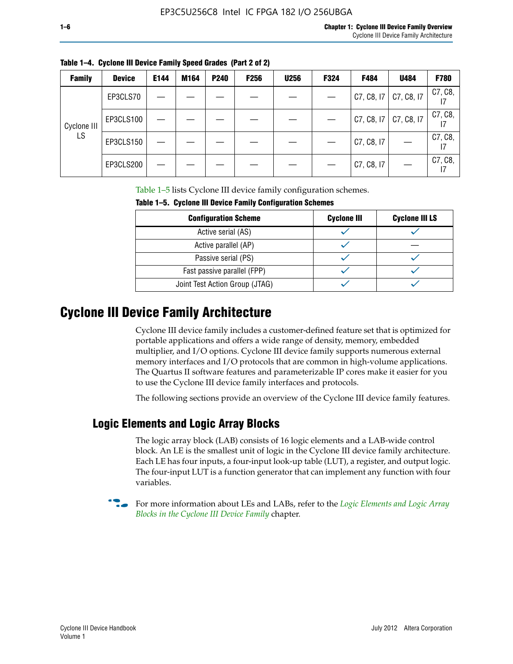| <b>Family</b> | <b>Device</b> | E144 | M164 | <b>P240</b> | <b>F256</b> | <b>U256</b> | <b>F324</b> | F484                  | U484 | <b>F780</b>   |
|---------------|---------------|------|------|-------------|-------------|-------------|-------------|-----------------------|------|---------------|
|               | EP3CLS70      |      |      |             |             |             |             | C7, C8, I7 C7, C8, I7 |      | C7, C8,       |
| Cyclone III   | EP3CLS100     |      |      |             |             |             |             | C7, C8, I7 C7, C8, I7 |      | C7, C8,       |
| LS.           | EP3CLS150     |      |      |             |             |             |             | C7, C8, I7            |      | C7, C8,<br>17 |
|               | EP3CLS200     |      |      |             |             |             |             | C7, C8, I7            |      | C7, C8,<br>17 |

**Table 1–4. Cyclone III Device Family Speed Grades (Part 2 of 2)**

Table 1–5 lists Cyclone III device family configuration schemes.

| <b>IQUIE 1-3. CACIDIIE III DEVICE FAIIIIIA CONTIGUIATION SCIIENIES</b> |                    |                       |  |  |  |
|------------------------------------------------------------------------|--------------------|-----------------------|--|--|--|
| <b>Configuration Scheme</b>                                            | <b>Cyclone III</b> | <b>Cyclone III LS</b> |  |  |  |
| Active serial (AS)                                                     |                    |                       |  |  |  |
| Active parallel (AP)                                                   |                    |                       |  |  |  |
| Passive serial (PS)                                                    |                    |                       |  |  |  |
| Fast passive parallel (FPP)                                            |                    |                       |  |  |  |
| Joint Test Action Group (JTAG)                                         |                    |                       |  |  |  |

**Table 1–5. Cyclone III Device Family Configuration Schemes**

## **Cyclone III Device Family Architecture**

Cyclone III device family includes a customer-defined feature set that is optimized for portable applications and offers a wide range of density, memory, embedded multiplier, and I/O options. Cyclone III device family supports numerous external memory interfaces and I/O protocols that are common in high-volume applications. The Quartus II software features and parameterizable IP cores make it easier for you to use the Cyclone III device family interfaces and protocols.

The following sections provide an overview of the Cyclone III device family features.

#### **Logic Elements and Logic Array Blocks**

The logic array block (LAB) consists of 16 logic elements and a LAB-wide control block. An LE is the smallest unit of logic in the Cyclone III device family architecture. Each LE has four inputs, a four-input look-up table (LUT), a register, and output logic. The four-input LUT is a function generator that can implement any function with four variables.

f For more information about LEs and LABs, refer to the *[Logic Elements and Logic Array](http://www.altera.com/literature/hb/cyc3/cyc3_ciii51002.pdf)  [Blocks in the Cyclone III Device Family](http://www.altera.com/literature/hb/cyc3/cyc3_ciii51002.pdf)* chapter.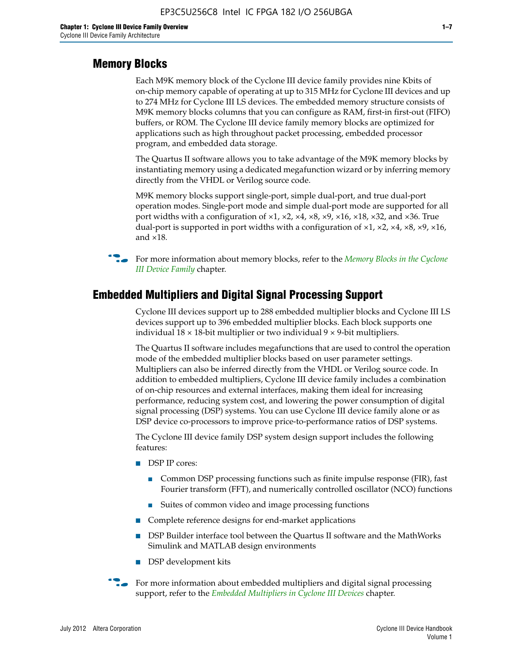#### **Memory Blocks**

Each M9K memory block of the Cyclone III device family provides nine Kbits of on-chip memory capable of operating at up to 315 MHz for Cyclone III devices and up to 274 MHz for Cyclone III LS devices. The embedded memory structure consists of M9K memory blocks columns that you can configure as RAM, first-in first-out (FIFO) buffers, or ROM. The Cyclone III device family memory blocks are optimized for applications such as high throughout packet processing, embedded processor program, and embedded data storage.

The Quartus II software allows you to take advantage of the M9K memory blocks by instantiating memory using a dedicated megafunction wizard or by inferring memory directly from the VHDL or Verilog source code.

M9K memory blocks support single-port, simple dual-port, and true dual-port operation modes. Single-port mode and simple dual-port mode are supported for all port widths with a configuration of  $\times1$ ,  $\times2$ ,  $\times4$ ,  $\times8$ ,  $\times9$ ,  $\times16$ ,  $\times18$ ,  $\times32$ , and  $\times36$ . True dual-port is supported in port widths with a configuration of  $\times$ 1,  $\times$ 2,  $\times$ 4,  $\times$ 8,  $\times$ 9,  $\times$ 16, and ×18.



**For more information about memory blocks, refer to the** *Memory Blocks in the Cyclone [III Device Family](http://www.altera.com/literature/hb/cyc3/cyc3_ciii51004.pdf)* chapter.

#### **Embedded Multipliers and Digital Signal Processing Support**

Cyclone III devices support up to 288 embedded multiplier blocks and Cyclone III LS devices support up to 396 embedded multiplier blocks. Each block supports one individual  $18 \times 18$ -bit multiplier or two individual  $9 \times 9$ -bit multipliers.

The Quartus II software includes megafunctions that are used to control the operation mode of the embedded multiplier blocks based on user parameter settings. Multipliers can also be inferred directly from the VHDL or Verilog source code. In addition to embedded multipliers, Cyclone III device family includes a combination of on-chip resources and external interfaces, making them ideal for increasing performance, reducing system cost, and lowering the power consumption of digital signal processing (DSP) systems. You can use Cyclone III device family alone or as DSP device co-processors to improve price-to-performance ratios of DSP systems.

The Cyclone III device family DSP system design support includes the following features:

- DSP IP cores:
	- Common DSP processing functions such as finite impulse response (FIR), fast Fourier transform (FFT), and numerically controlled oscillator (NCO) functions
	- Suites of common video and image processing functions
- Complete reference designs for end-market applications
- DSP Builder interface tool between the Quartus II software and the MathWorks Simulink and MATLAB design environments
- DSP development kits
- For more information about embedded multipliers and digital signal processing support, refer to the *[Embedded Multipliers in Cyclone III Devices](http://www.altera.com/literature/hb/cyc3/cyc3_ciii51005.pdf)* chapter.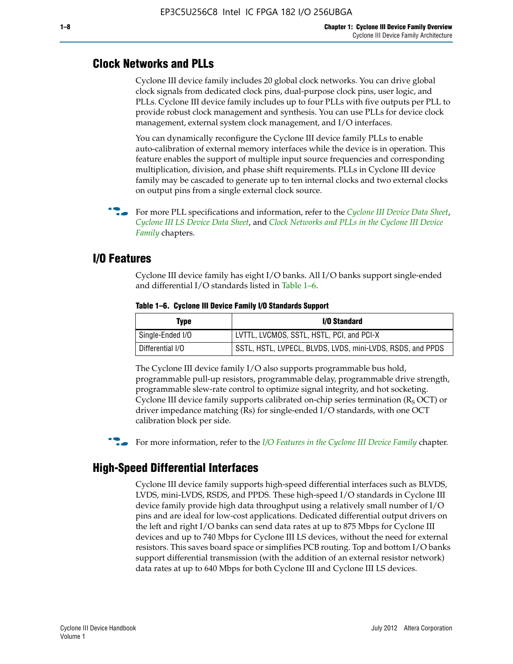#### **Clock Networks and PLLs**

Cyclone III device family includes 20 global clock networks. You can drive global clock signals from dedicated clock pins, dual-purpose clock pins, user logic, and PLLs. Cyclone III device family includes up to four PLLs with five outputs per PLL to provide robust clock management and synthesis. You can use PLLs for device clock management, external system clock management, and I/O interfaces.

You can dynamically reconfigure the Cyclone III device family PLLs to enable auto-calibration of external memory interfaces while the device is in operation. This feature enables the support of multiple input source frequencies and corresponding multiplication, division, and phase shift requirements. PLLs in Cyclone III device family may be cascaded to generate up to ten internal clocks and two external clocks on output pins from a single external clock source.

**For more PLL specifications and information, refer to the** *[Cyclone III Device Data Sheet](http://www.altera.com/literature/hb/cyc3/cyc3_ciii52001.pdf)***,** *[Cyclone III LS Device Data Sheet](http://www.altera.com/literature/hb/cyc3/cyc3_ciii52002.pdf)*, and *[Clock Networks and PLLs in the Cyclone III Device](http://www.altera.com/literature/hb/cyc3/cyc3_ciii51006.pdf)  [Family](http://www.altera.com/literature/hb/cyc3/cyc3_ciii51006.pdf)* chapters.

#### **I/O Features**

Cyclone III device family has eight I/O banks. All I/O banks support single-ended and differential I/O standards listed in Table 1–6.

| Type             | <b>I/O Standard</b>                                        |
|------------------|------------------------------------------------------------|
| Single-Ended I/O | LVTTL, LVCMOS, SSTL, HSTL, PCI, and PCI-X                  |
| Differential I/O | SSTL, HSTL, LVPECL, BLVDS, LVDS, mini-LVDS, RSDS, and PPDS |

**Table 1–6. Cyclone III Device Family I/O Standards Support** 

The Cyclone III device family I/O also supports programmable bus hold, programmable pull-up resistors, programmable delay, programmable drive strength, programmable slew-rate control to optimize signal integrity, and hot socketing. Cyclone III device family supports calibrated on-chip series termination ( $R_S$  OCT) or driver impedance matching (Rs) for single-ended I/O standards, with one OCT calibration block per side.

For more information, refer to the *[I/O Features in the Cyclone III Device Family](http://www.altera.com/literature/hb/cyc3/cyc3_ciii51007.pdf)* chapter.

### **High-Speed Differential Interfaces**

Cyclone III device family supports high-speed differential interfaces such as BLVDS, LVDS, mini-LVDS, RSDS, and PPDS. These high-speed I/O standards in Cyclone III device family provide high data throughput using a relatively small number of I/O pins and are ideal for low-cost applications. Dedicated differential output drivers on the left and right I/O banks can send data rates at up to 875 Mbps for Cyclone III devices and up to 740 Mbps for Cyclone III LS devices, without the need for external resistors. This saves board space or simplifies PCB routing. Top and bottom I/O banks support differential transmission (with the addition of an external resistor network) data rates at up to 640 Mbps for both Cyclone III and Cyclone III LS devices.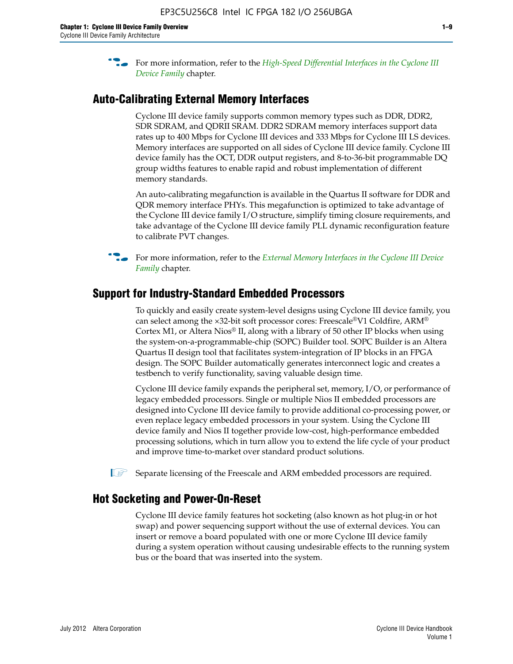**For more information, refer to the** *High-Speed Differential Interfaces in the Cyclone III* $\overline{a}$ *[Device Family](http://www.altera.com/literature/hb/cyc3/cyc3_ciii51008.pdf)* chapter.

#### **Auto-Calibrating External Memory Interfaces**

Cyclone III device family supports common memory types such as DDR, DDR2, SDR SDRAM, and QDRII SRAM. DDR2 SDRAM memory interfaces support data rates up to 400 Mbps for Cyclone III devices and 333 Mbps for Cyclone III LS devices. Memory interfaces are supported on all sides of Cyclone III device family. Cyclone III device family has the OCT, DDR output registers, and 8-to-36-bit programmable DQ group widths features to enable rapid and robust implementation of different memory standards.

An auto-calibrating megafunction is available in the Quartus II software for DDR and QDR memory interface PHYs. This megafunction is optimized to take advantage of the Cyclone III device family I/O structure, simplify timing closure requirements, and take advantage of the Cyclone III device family PLL dynamic reconfiguration feature to calibrate PVT changes.

**For more information, refer to the** *External Memory Interfaces in the Cyclone III Device [Family](http://www.altera.com/literature/hb/cyc3/cyc3_ciii51009.pdf)* chapter.

#### **Support for Industry-Standard Embedded Processors**

To quickly and easily create system-level designs using Cyclone III device family, you can select among the ×32-bit soft processor cores: Freescale®V1 Coldfire, ARM® Cortex M1, or Altera Nios® II, along with a library of 50 other IP blocks when using the system-on-a-programmable-chip (SOPC) Builder tool. SOPC Builder is an Altera Quartus II design tool that facilitates system-integration of IP blocks in an FPGA design. The SOPC Builder automatically generates interconnect logic and creates a testbench to verify functionality, saving valuable design time.

Cyclone III device family expands the peripheral set, memory, I/O, or performance of legacy embedded processors. Single or multiple Nios II embedded processors are designed into Cyclone III device family to provide additional co-processing power, or even replace legacy embedded processors in your system. Using the Cyclone III device family and Nios II together provide low-cost, high-performance embedded processing solutions, which in turn allow you to extend the life cycle of your product and improve time-to-market over standard product solutions.

 $\mathbb{I}$  Separate licensing of the Freescale and ARM embedded processors are required.

#### **Hot Socketing and Power-On-Reset**

Cyclone III device family features hot socketing (also known as hot plug-in or hot swap) and power sequencing support without the use of external devices. You can insert or remove a board populated with one or more Cyclone III device family during a system operation without causing undesirable effects to the running system bus or the board that was inserted into the system.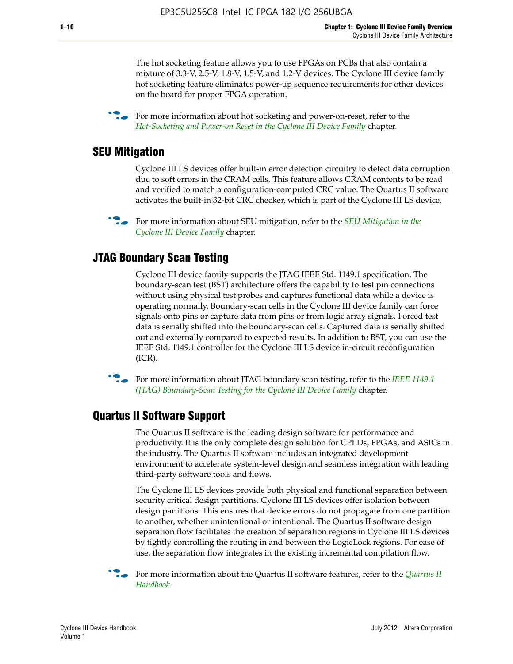The hot socketing feature allows you to use FPGAs on PCBs that also contain a mixture of 3.3-V, 2.5-V, 1.8-V, 1.5-V, and 1.2-V devices. The Cyclone III device family hot socketing feature eliminates power-up sequence requirements for other devices on the board for proper FPGA operation.

For more information about hot socketing and power-on-reset, refer to the *[Hot-Socketing and Power-on Reset in the Cyclone III Device Family](http://www.altera.com/literature/hb/cyc3/cyc3_ciii51011.pdf)* chapter.

#### **SEU Mitigation**

Cyclone III LS devices offer built-in error detection circuitry to detect data corruption due to soft errors in the CRAM cells. This feature allows CRAM contents to be read and verified to match a configuration-computed CRC value. The Quartus II software activates the built-in 32-bit CRC checker, which is part of the Cyclone III LS device.

**For more information about SEU mitigation, refer to the** *SEU Mitigation in the [Cyclone III Device Family](http://www.altera.com/literature/hb/cyc3/cyc3_ciii51013.pdf)* chapter.

#### **JTAG Boundary Scan Testing**

Cyclone III device family supports the JTAG IEEE Std. 1149.1 specification. The boundary-scan test (BST) architecture offers the capability to test pin connections without using physical test probes and captures functional data while a device is operating normally. Boundary-scan cells in the Cyclone III device family can force signals onto pins or capture data from pins or from logic array signals. Forced test data is serially shifted into the boundary-scan cells. Captured data is serially shifted out and externally compared to expected results. In addition to BST, you can use the IEEE Std. 1149.1 controller for the Cyclone III LS device in-circuit reconfiguration (ICR).

**f f**or more information about JTAG boundary scan testing, refer to the *IEEE* 1149.1 *[\(JTAG\) Boundary-Scan Testing for the Cyclone III Device Family](http://www.altera.com/literature/hb/cyc3/cyc3_ciii51014.pdf)* chapter.

#### **Quartus II Software Support**

The Quartus II software is the leading design software for performance and productivity. It is the only complete design solution for CPLDs, FPGAs, and ASICs in the industry. The Quartus II software includes an integrated development environment to accelerate system-level design and seamless integration with leading third-party software tools and flows.

The Cyclone III LS devices provide both physical and functional separation between security critical design partitions. Cyclone III LS devices offer isolation between design partitions. This ensures that device errors do not propagate from one partition to another, whether unintentional or intentional. The Quartus II software design separation flow facilitates the creation of separation regions in Cyclone III LS devices by tightly controlling the routing in and between the LogicLock regions. For ease of use, the separation flow integrates in the existing incremental compilation flow.

f For more information about the Quartus II software features, refer to the *[Quartus II](http://www.altera.com/literature/hb/qts/quartusii_handbook.pdf)  [Handbook](http://www.altera.com/literature/hb/qts/quartusii_handbook.pdf)*.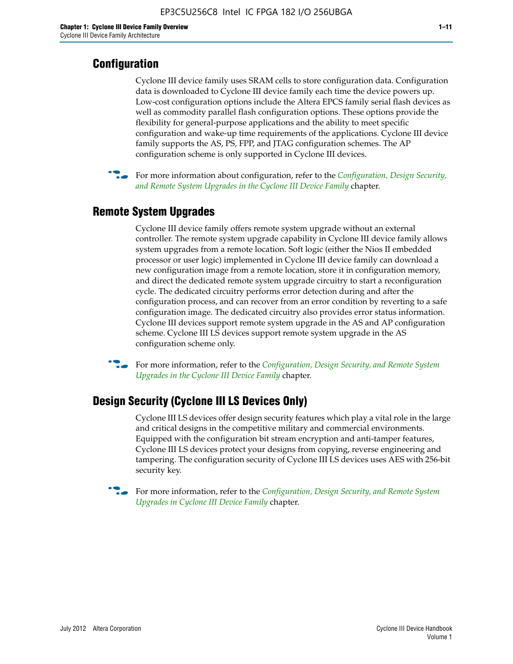### **Configuration**

Cyclone III device family uses SRAM cells to store configuration data. Configuration data is downloaded to Cyclone III device family each time the device powers up. Low-cost configuration options include the Altera EPCS family serial flash devices as well as commodity parallel flash configuration options. These options provide the flexibility for general-purpose applications and the ability to meet specific configuration and wake-up time requirements of the applications. Cyclone III device family supports the AS, PS, FPP, and JTAG configuration schemes. The AP configuration scheme is only supported in Cyclone III devices.



f For more information about configuration, refer to the *[Configuration, Design Security,](http://www.altera.com/literature/hb/cyc3/cyc3_ciii51016.pdf)  [and Remote System Upgrades in the Cyclone III Device Family](http://www.altera.com/literature/hb/cyc3/cyc3_ciii51016.pdf)* chapter.

#### **Remote System Upgrades**

Cyclone III device family offers remote system upgrade without an external controller. The remote system upgrade capability in Cyclone III device family allows system upgrades from a remote location. Soft logic (either the Nios II embedded processor or user logic) implemented in Cyclone III device family can download a new configuration image from a remote location, store it in configuration memory, and direct the dedicated remote system upgrade circuitry to start a reconfiguration cycle. The dedicated circuitry performs error detection during and after the configuration process, and can recover from an error condition by reverting to a safe configuration image. The dedicated circuitry also provides error status information. Cyclone III devices support remote system upgrade in the AS and AP configuration scheme. Cyclone III LS devices support remote system upgrade in the AS configuration scheme only.

**For more information, refer to the** *Configuration, Design Security, and Remote System [Upgrades in the Cyclone III Device Family](http://www.altera.com/literature/hb/cyc3/cyc3_ciii51016.pdf)* chapter.

#### **Design Security (Cyclone III LS Devices Only)**

Cyclone III LS devices offer design security features which play a vital role in the large and critical designs in the competitive military and commercial environments. Equipped with the configuration bit stream encryption and anti-tamper features, Cyclone III LS devices protect your designs from copying, reverse engineering and tampering. The configuration security of Cyclone III LS devices uses AES with 256-bit security key.

f For more information, refer to the *[Configuration, Design Security, and Remote System](http://www.altera.com/literature/hb/cyc3/cyc3_ciii51016.pdf)  [Upgrades in Cyclone III Device Family](http://www.altera.com/literature/hb/cyc3/cyc3_ciii51016.pdf)* chapter.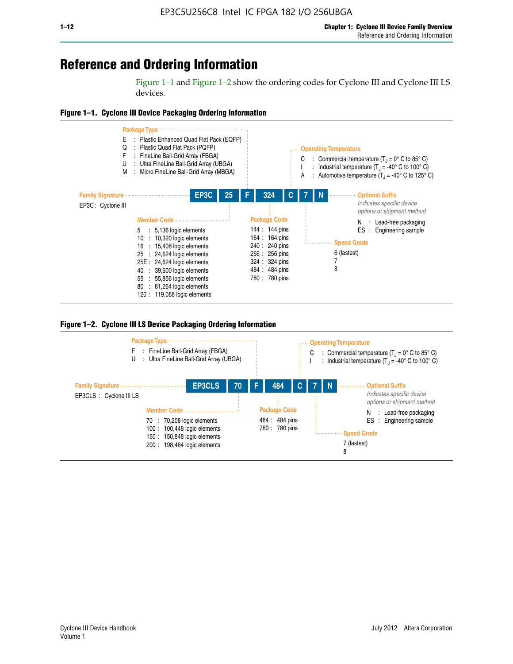## **Reference and Ordering Information**

Figure 1–1 and Figure 1–2 show the ordering codes for Cyclone III and Cyclone III LS devices.







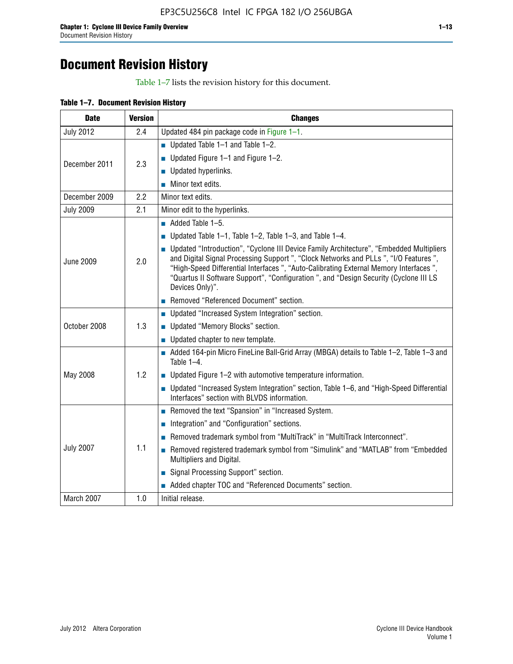## **Document Revision History**

Table 1–7 lists the revision history for this document.

|  | Table 1-7. Document Revision History |  |  |  |
|--|--------------------------------------|--|--|--|
|--|--------------------------------------|--|--|--|

| <b>Date</b>      | <b>Version</b> | <b>Changes</b>                                                                                                                                                                                                                                                                                                                                                                          |
|------------------|----------------|-----------------------------------------------------------------------------------------------------------------------------------------------------------------------------------------------------------------------------------------------------------------------------------------------------------------------------------------------------------------------------------------|
| <b>July 2012</b> | 2.4            | Updated 484 pin package code in Figure 1-1.                                                                                                                                                                                                                                                                                                                                             |
|                  |                | ■ Updated Table $1-1$ and Table $1-2$ .                                                                                                                                                                                                                                                                                                                                                 |
| December 2011    | 2.3            | ■ Updated Figure $1-1$ and Figure $1-2$ .                                                                                                                                                                                                                                                                                                                                               |
|                  |                | Updated hyperlinks.                                                                                                                                                                                                                                                                                                                                                                     |
|                  |                | Minor text edits.                                                                                                                                                                                                                                                                                                                                                                       |
| December 2009    | 2.2            | Minor text edits.                                                                                                                                                                                                                                                                                                                                                                       |
| <b>July 2009</b> | 2.1            | Minor edit to the hyperlinks.                                                                                                                                                                                                                                                                                                                                                           |
|                  |                | $\blacksquare$ Added Table 1-5.                                                                                                                                                                                                                                                                                                                                                         |
|                  |                | ■ Updated Table 1–1, Table 1–2, Table 1–3, and Table 1–4.                                                                                                                                                                                                                                                                                                                               |
| <b>June 2009</b> | 2.0            | • Updated "Introduction", "Cyclone III Device Family Architecture", "Embedded Multipliers<br>and Digital Signal Processing Support ", "Clock Networks and PLLs ", "I/O Features ",<br>"High-Speed Differential Interfaces ", "Auto-Calibrating External Memory Interfaces",<br>"Quartus II Software Support", "Configuration ", and "Design Security (Cyclone III LS<br>Devices Only)". |
|                  |                | Removed "Referenced Document" section.                                                                                                                                                                                                                                                                                                                                                  |
|                  |                | • Updated "Increased System Integration" section.                                                                                                                                                                                                                                                                                                                                       |
| October 2008     | 1.3            | Updated "Memory Blocks" section.                                                                                                                                                                                                                                                                                                                                                        |
|                  |                | • Updated chapter to new template.                                                                                                                                                                                                                                                                                                                                                      |
|                  |                | Added 164-pin Micro FineLine Ball-Grid Array (MBGA) details to Table 1-2, Table 1-3 and<br>Table $1-4$ .                                                                                                                                                                                                                                                                                |
| May 2008         | 1.2            | $\blacksquare$ Updated Figure 1-2 with automotive temperature information.                                                                                                                                                                                                                                                                                                              |
|                  |                | • Updated "Increased System Integration" section, Table 1-6, and "High-Speed Differential<br>Interfaces" section with BLVDS information.                                                                                                                                                                                                                                                |
|                  |                | Removed the text "Spansion" in "Increased System.                                                                                                                                                                                                                                                                                                                                       |
|                  |                | Integration" and "Configuration" sections.                                                                                                                                                                                                                                                                                                                                              |
|                  |                | Removed trademark symbol from "MultiTrack" in "MultiTrack Interconnect".                                                                                                                                                                                                                                                                                                                |
| <b>July 2007</b> | 1.1            | Removed registered trademark symbol from "Simulink" and "MATLAB" from "Embedded<br>Multipliers and Digital.                                                                                                                                                                                                                                                                             |
|                  |                | Signal Processing Support" section.                                                                                                                                                                                                                                                                                                                                                     |
|                  |                | Added chapter TOC and "Referenced Documents" section.                                                                                                                                                                                                                                                                                                                                   |
| March 2007       | 1.0            | Initial release.                                                                                                                                                                                                                                                                                                                                                                        |